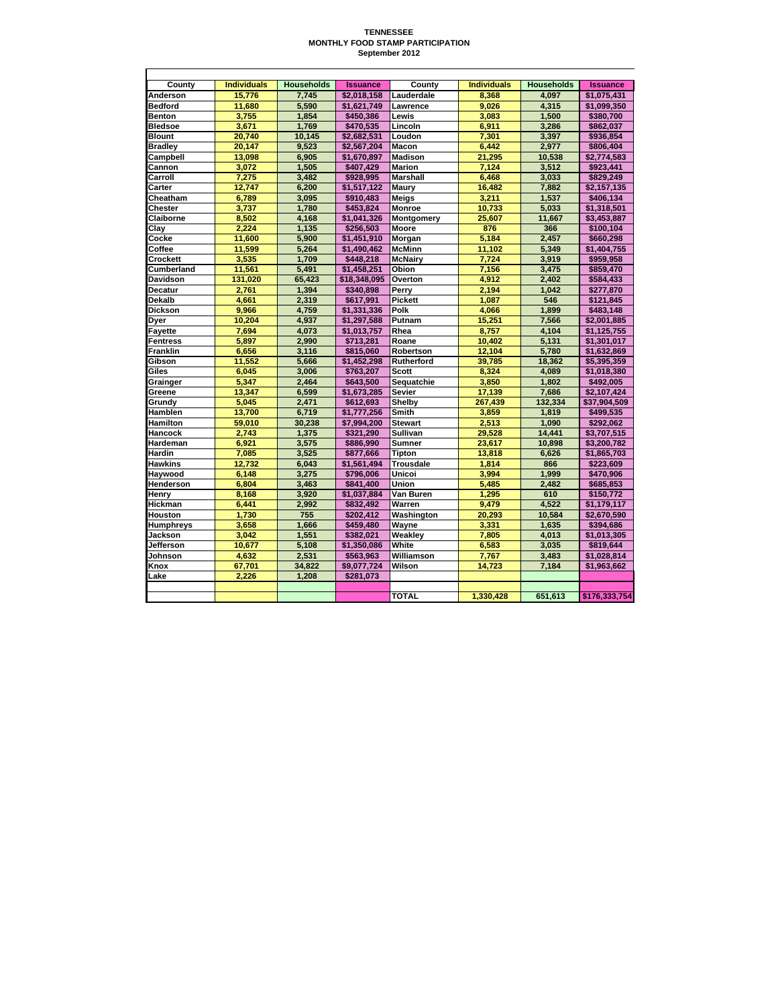## **TENNESSEE MONTHLY FOOD STAMP PARTICIPATION September 2012**

| County           | <b>Individuals</b> | <b>Households</b> | <b>Issuance</b> | County           | <b>Individuals</b> | <b>Households</b> | <b>Issuance</b> |
|------------------|--------------------|-------------------|-----------------|------------------|--------------------|-------------------|-----------------|
| Anderson         | 15.776             | 7.745             | \$2.018.158     | Lauderdale       | 8.368              | 4.097             | \$1.075.431     |
| <b>Bedford</b>   | 11.680             | 5.590             | \$1,621,749     | Lawrence         | 9.026              | 4.315             | \$1.099.350     |
| <b>Benton</b>    | 3,755              | 1,854             | \$450,386       | Lewis            | 3,083              | 1,500             | \$380,700       |
| <b>Bledsoe</b>   | 3.671              | 1,769             | \$470,535       | Lincoln          | 6.911              | 3.286             | \$862,037       |
| <b>Blount</b>    | 20.740             | 10,145            | \$2,682,531     | Loudon           | 7.301              | 3.397             | \$936,854       |
| <b>Bradley</b>   | 20,147             | 9,523             | \$2,567,204     | Macon            | 6,442              | 2,977             | \$806,404       |
| Campbell         | 13,098             | 6,905             | \$1,670,897     | <b>Madison</b>   | 21,295             | 10,538            | \$2,774,583     |
| Cannon           | 3.072              | 1,505             | \$407.429       | <b>Marion</b>    | 7.124              | 3.512             | \$923.441       |
| Carroll          | 7,275              | 3,482             | \$928,995       | <b>Marshall</b>  | 6,468              | 3,033             | \$829,249       |
| Carter           | 12.747             | 6,200             | \$1,517.122     | Maury            | 16.482             | 7,882             | \$2,157,135     |
| Cheatham         | 6.789              | 3.095             | \$910,483       | <b>Meigs</b>     | 3.211              | 1.537             | \$406,134       |
| Chester          | 3,737              | 1,780             | \$453,824       | <b>Monroe</b>    | 10,733             | 5,033             | \$1,318,501     |
| Claiborne        | 8.502              | 4,168             | \$1.041.326     | Montgomery       | 25.607             | 11,667            | \$3,453,887     |
| Clay             | 2.224              | 1,135             | \$256,503       | Moore            | 876                | 366               | \$100,104       |
| Cocke            | 11,600             | 5,900             | \$1,451,910     | Morgan           | 5,184              | 2,457             | \$660,298       |
| Coffee           | 11,599             | 5,264             | \$1,490,462     | <b>McMinn</b>    | 11.102             | 5,349             | \$1,404,755     |
| Crockett         | 3,535              | 1,709             | \$448,218       | <b>McNairy</b>   | 7,724              | 3,919             | \$959,958       |
| Cumberland       | 11,561             | 5,491             | \$1,458,251     | Obion            | 7,156              | 3,475             | \$859,470       |
| Davidson         | 131,020            | 65,423            | \$18,348,095    | Overton          | 4.912              | 2.402             | \$584,433       |
| <b>Decatur</b>   | 2,761              | 1,394             | \$340,898       | Perry            | 2,194              | 1,042             | \$277,870       |
| Dekalb           | 4.661              | 2,319             | \$617.991       | <b>Pickett</b>   | 1.087              | 546               | \$121.845       |
| <b>Dickson</b>   | 9.966              | 4,759             | \$1,331,336     | Polk             | 4,066              | 1,899             | \$483,148       |
| Dyer             | 10,204             | 4,937             | \$1,297,588     | Putnam           | 15,251             | 7,566             | \$2,001,885     |
| Fayette          | 7.694              | 4,073             | \$1,013,757     | Rhea             | 8.757              | 4,104             | \$1,125,755     |
| <b>Fentress</b>  | 5.897              | 2,990             | \$713,281       | Roane            | 10,402             | 5,131             | \$1,301,017     |
| Franklin         | 6,656              | 3,116             | \$815,060       | Robertson        | 12,104             | 5,780             | \$1,632,869     |
| Gibson           | 11,552             | 5,666             | \$1,452,298     | Rutherford       | 39,785             | 18,362            | \$5,395,359     |
| Giles            | 6.045              | 3.006             | \$763.207       | <b>Scott</b>     | 8.324              | 4.089             | \$1,018,380     |
| Grainger         | 5.347              | 2,464             | \$643.500       | Sequatchie       | 3.850              | 1.802             | \$492,005       |
| Greene           | 13.347             | 6.599             | \$1,673,285     | <b>Sevier</b>    | 17,139             | 7.686             | \$2,107,424     |
| Grundy           | 5,045              | 2,471             | \$612,693       | Shelby           | 267,439            | 132,334           | \$37,904,509    |
| <b>Hamblen</b>   | 13.700             | 6.719             | \$1,777,256     | <b>Smith</b>     | 3.859              | 1.819             | \$499,535       |
| Hamilton         | 59,010             | 30,238            | \$7,994,200     | <b>Stewart</b>   | 2,513              | 1,090             | \$292,062       |
| Hancock          | 2,743              | 1,375             | \$321,290       | <b>Sullivan</b>  | 29,528             | 14,441            | \$3,707,515     |
| Hardeman         | 6.921              | 3.575             | \$886.990       | <b>Sumner</b>    | 23.617             | 10.898            | \$3.200.782     |
| Hardin           | 7,085              | 3,525             | \$877,666       | Tipton           | 13,818             | 6,626             | \$1,865,703     |
| <b>Hawkins</b>   | 12,732             | 6,043             | \$1,561,494     | <b>Trousdale</b> | 1.814              | 866               | \$223,609       |
| Haywood          | 6,148              | 3,275             | \$796,006       | Unicoi           | 3,994              | 1,999             | \$470,906       |
| Henderson        | 6,804              | 3,463             | \$841,400       | Union            | 5,485              | 2,482             | \$685,853       |
| Henry            | 8.168              | 3,920             | \$1.037.884     | Van Buren        | 1.295              | 610               | \$150.772       |
| <b>Hickman</b>   | 6,441              | 2,992             | \$832,492       | Warren           | 9,479              | 4,522             | \$1,179,117     |
| Houston          | 1,730              | 755               | \$202,412       | Washington       | 20,293             | 10,584            | \$2,670,590     |
| <b>Humphreys</b> | 3,658              | 1,666             | \$459,480       | Wayne            | 3,331              | 1,635             | \$394,686       |
| Jackson          | 3.042              | 1,551             | \$382,021       | Weakley          | 7,805              | 4.013             | \$1,013,305     |
| Jefferson        | 10,677             | 5,108             | \$1,350,086     | White            | 6,583              | 3,035             | \$819,644       |
| Johnson          | 4.632              | 2.531             | \$563,963       | Williamson       | 7,767              | 3.483             | \$1,028,814     |
| Knox             | 67,701             | 34,822            | \$9,077,724     | Wilson           | 14,723             | 7,184             | \$1,963,662     |
| Lake             | 2,226              | 1,208             | \$281,073       |                  |                    |                   |                 |
|                  |                    |                   |                 |                  |                    |                   |                 |
|                  |                    |                   |                 | <b>TOTAL</b>     | 1.330.428          | 651.613           | \$176,333,754   |